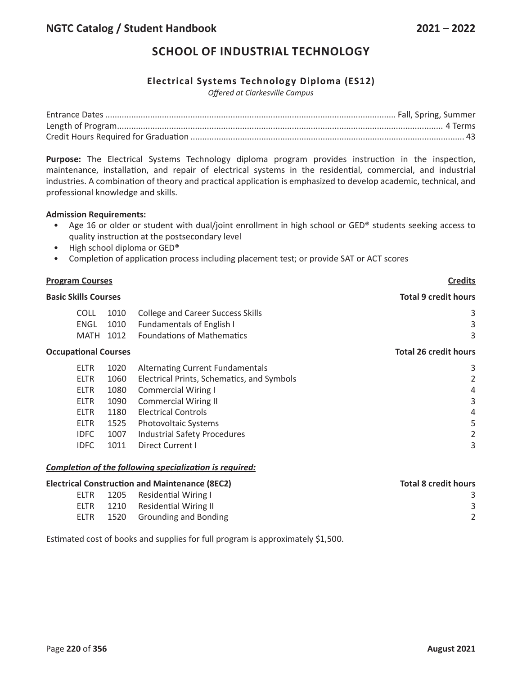# **SCHOOL OF INDUSTRIAL TECHNOLOGY**

## **Electrical Systems Technology Diploma (ES12)**

*Offered at Clarkesville Campus*

**Purpose:** The Electrical Systems Technology diploma program provides instruction in the inspection, maintenance, installation, and repair of electrical systems in the residential, commercial, and industrial industries. A combination of theory and practical application is emphasized to develop academic, technical, and professional knowledge and skills.

#### **Admission Requirements:**

- Age 16 or older or student with dual/joint enrollment in high school or GED® students seeking access to quality instruction at the postsecondary level
- High school diploma or GED®
- Completion of application process including placement test; or provide SAT or ACT scores

| <b>Program Courses</b><br><b>Basic Skills Courses</b> |             |      | <b>Credits</b>                             |                              |
|-------------------------------------------------------|-------------|------|--------------------------------------------|------------------------------|
|                                                       |             |      | <b>Total 9 credit hours</b>                |                              |
|                                                       | <b>COLL</b> | 1010 | <b>College and Career Success Skills</b>   | 3                            |
|                                                       | <b>ENGL</b> | 1010 | <b>Fundamentals of English I</b>           | 3                            |
|                                                       | MATH        | 1012 | <b>Foundations of Mathematics</b>          | 3                            |
| <b>Occupational Courses</b>                           |             |      |                                            | <b>Total 26 credit hours</b> |
|                                                       | <b>ELTR</b> | 1020 | <b>Alternating Current Fundamentals</b>    | 3                            |
|                                                       | <b>ELTR</b> | 1060 | Electrical Prints, Schematics, and Symbols | 2                            |
|                                                       | <b>ELTR</b> | 1080 | <b>Commercial Wiring I</b>                 | 4                            |
|                                                       | <b>ELTR</b> | 1090 | <b>Commercial Wiring II</b>                | 3                            |
|                                                       | <b>ELTR</b> | 1180 | <b>Electrical Controls</b>                 | 4                            |
|                                                       | <b>ELTR</b> | 1525 | Photovoltaic Systems                       | 5                            |
|                                                       | <b>IDFC</b> | 1007 | <b>Industrial Safety Procedures</b>        |                              |
|                                                       | <b>IDFC</b> | 1011 | <b>Direct Current I</b>                    | 3                            |
|                                                       |             |      |                                            |                              |

#### *Completion of the following specialization is required:*

|      | <b>Electrical Construction and Maintenance (8EC2)</b> | <b>Total 8 credit hours</b> |
|------|-------------------------------------------------------|-----------------------------|
| ELTR | 1205 Residential Wiring L                             |                             |
|      | ELTR 1210 Residential Wiring II                       |                             |
| FLTR | 1520 Grounding and Bonding                            |                             |

Estimated cost of books and supplies for full program is approximately \$1,500.